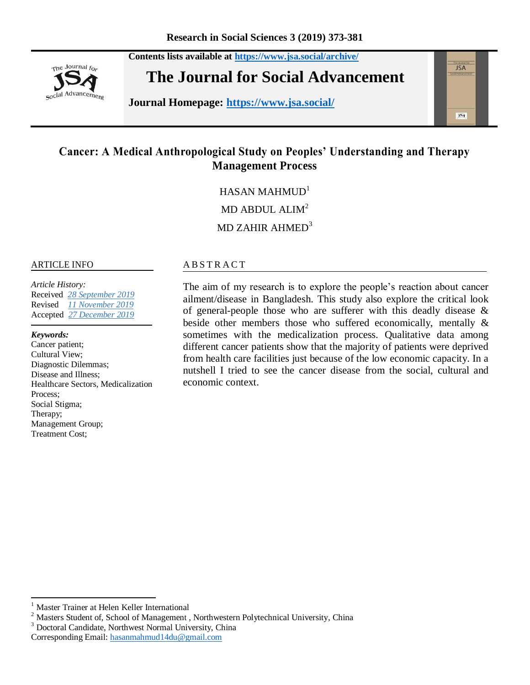

**Contents lists available at <https://www.jsa.social/archive/> The Journal for Social Advancement** 

**Journal Homepage: <https://www.jsa.social/>**



# **Cancer: A Medical Anthropological Study on Peoples' Understanding and Therapy Management Process**

 $HASAN MAHMIID<sup>1</sup>$ 

MD ABDUL ALIM<sup>2</sup>

MD ZAHIR AHMED<sup>3</sup>

#### ARTICLE INFO

*Article History:*  Received *28 September 2019* Revised *11 November 2019*  Accepted *27 December 2019* 

*Keywords:* 

 $\overline{\phantom{a}}$ 

Cancer patient; Cultural View; Diagnostic Dilemmas; Disease and Illness; Healthcare Sectors, Medicalization Process; Social Stigma; Therapy; Management Group; Treatment Cost;

#### A B S T R A C T

The aim of my research is to explore the people's reaction about cancer ailment/disease in Bangladesh. This study also explore the critical look of general-people those who are sufferer with this deadly disease & beside other members those who suffered economically, mentally & sometimes with the medicalization process. Qualitative data among different cancer patients show that the majority of patients were deprived from health care facilities just because of the low economic capacity. In a nutshell I tried to see the cancer disease from the social, cultural and economic context.

<sup>&</sup>lt;sup>1</sup> Master Trainer at Helen Keller International

<sup>&</sup>lt;sup>2</sup> Masters Student of, School of Management, Northwestern Polytechnical University, China

<sup>3</sup> Doctoral Candidate, Northwest Normal University, China

Corresponding Email: [hasanmahmud14du@gmail.com](mailto:hasanmahmud14du@gmail.com)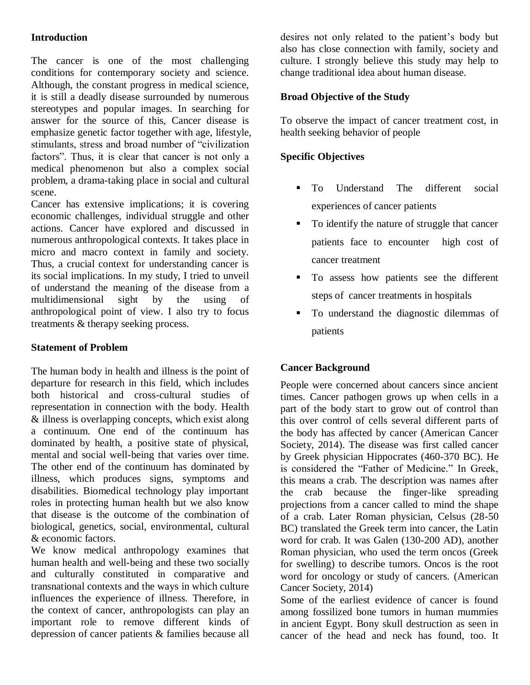# **Introduction**

The cancer is one of the most challenging conditions for contemporary society and science. Although, the constant progress in medical science, it is still a deadly disease surrounded by numerous stereotypes and popular images. In searching for answer for the source of this, Cancer disease is emphasize genetic factor together with age, lifestyle, stimulants, stress and broad number of "civilization factors". Thus, it is clear that cancer is not only a medical phenomenon but also a complex social problem, a drama-taking place in social and cultural scene.

Cancer has extensive implications; it is covering economic challenges, individual struggle and other actions. Cancer have explored and discussed in numerous anthropological contexts. It takes place in micro and macro context in family and society. Thus, a crucial context for understanding cancer is its social implications. In my study, I tried to unveil of understand the meaning of the disease from a multidimensional sight by the using of anthropological point of view. I also try to focus treatments & therapy seeking process.

# **Statement of Problem**

The human body in health and illness is the point of departure for research in this field, which includes both historical and cross-cultural studies of representation in connection with the body. Health & illness is overlapping concepts, which exist along a continuum. One end of the continuum has dominated by health, a positive state of physical, mental and social well-being that varies over time. The other end of the continuum has dominated by illness, which produces signs, symptoms and disabilities. Biomedical technology play important roles in protecting human health but we also know that disease is the outcome of the combination of biological, genetics, social, environmental, cultural & economic factors.

We know medical anthropology examines that human health and well-being and these two socially and culturally constituted in comparative and transnational contexts and the ways in which culture influences the experience of illness. Therefore, in the context of cancer, anthropologists can play an important role to remove different kinds of depression of cancer patients & families because all desires not only related to the patient"s body but also has close connection with family, society and culture. I strongly believe this study may help to change traditional idea about human disease.

# **Broad Objective of the Study**

To observe the impact of cancer treatment cost, in health seeking behavior of people

# **Specific Objectives**

- **To** Understand The different social experiences of cancer patients
- To identify the nature of struggle that cancer patients face to encounter high cost of cancer treatment
- To assess how patients see the different steps of cancer treatments in hospitals
- To understand the diagnostic dilemmas of patients

# **Cancer Background**

People were concerned about cancers since ancient times. Cancer pathogen grows up when cells in a part of the body start to grow out of control than this over control of cells several different parts of the body has affected by cancer (American Cancer Society, 2014). The disease was first called cancer by Greek physician Hippocrates (460-370 BC). He is considered the "Father of Medicine." In Greek, this means a crab. The description was names after the crab because the finger-like spreading projections from a cancer called to mind the shape of a crab. Later Roman physician, Celsus (28-50 BC) translated the Greek term into cancer, the Latin word for crab. It was Galen (130-200 AD), another Roman physician, who used the term oncos (Greek for swelling) to describe tumors. Oncos is the root word for oncology or study of cancers. (American Cancer Society, 2014)

Some of the earliest evidence of cancer is found among fossilized bone tumors in human mummies in ancient Egypt. Bony skull destruction as seen in cancer of the head and neck has found, too. It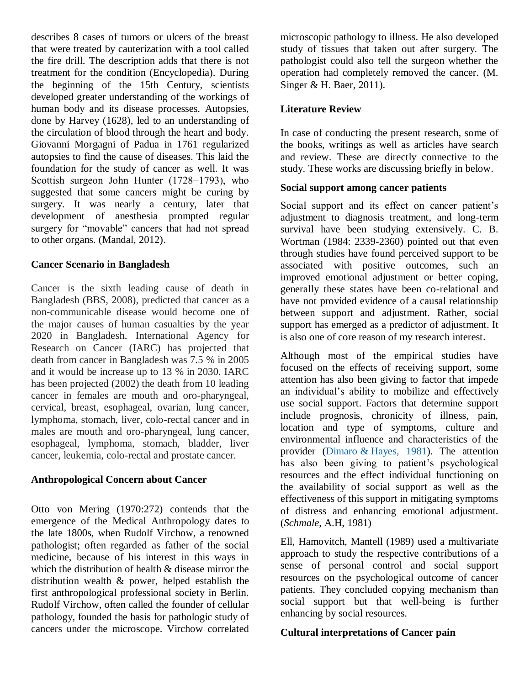describes 8 cases of tumors or ulcers of the breast that were treated by cauterization with a tool called the fire drill. The description adds that there is not treatment for the condition (Encyclopedia). During the beginning of the 15th Century, scientists developed greater understanding of the workings of human body and its disease processes. Autopsies, done by Harvey (1628), led to an understanding of the circulation of blood through the heart and body. Giovanni Morgagni of Padua in 1761 regularized autopsies to find the cause of diseases. This laid the foundation for the study of cancer as well. It was Scottish surgeon John Hunter (1728−1793), who suggested that some cancers might be curing by surgery. It was nearly a century, later that development of anesthesia prompted regular surgery for "movable" cancers that had not spread to other organs. (Mandal, 2012).

#### **Cancer Scenario in Bangladesh**

Cancer is the sixth leading cause of death in Bangladesh (BBS, 2008), predicted that cancer as a non-communicable disease would become one of the major causes of human casualties by the year 2020 in Bangladesh. International Agency for Research on Cancer (IARC) has projected that death from cancer in Bangladesh was 7.5 % in 2005 and it would be increase up to 13 % in 2030. IARC has been projected (2002) the death from 10 leading cancer in females are mouth and oro-pharyngeal, cervical, breast, esophageal, ovarian, lung cancer, lymphoma, stomach, liver, colo-rectal cancer and in males are mouth and oro-pharyngeal, lung cancer, esophageal, lymphoma, stomach, bladder, liver cancer, leukemia, colo-rectal and prostate cancer.

#### **Anthropological Concern about Cancer**

Otto von Mering (1970:272) contends that the emergence of the Medical Anthropology dates to the late 1800s, when Rudolf Virchow, a renowned pathologist; often regarded as father of the social medicine, because of his interest in this ways in which the distribution of health & disease mirror the distribution wealth & power, helped establish the first anthropological professional society in Berlin. Rudolf Virchow, often called the founder of cellular pathology, founded the basis for pathologic study of cancers under the microscope. Virchow correlated microscopic pathology to illness. He also developed study of tissues that taken out after surgery. The pathologist could also tell the surgeon whether the operation had completely removed the cancer. (M. Singer & H. Baer, 2011).

# **Literature Review**

In case of conducting the present research, some of the books, writings as well as articles have search and review. These are directly connective to the study. These works are discussing briefly in below.

#### **Social support among cancer patients**

Social support and its effect on cancer patient's adjustment to diagnosis treatment, and long-term survival have been studying extensively. C. B. Wortman (1984: 2339-2360) pointed out that even through studies have found perceived support to be associated with positive outcomes, such an improved emotional adjustment or better coping, generally these states have been co-relational and have not provided evidence of a causal relationship between support and adjustment. Rather, social support has emerged as a predictor of adjustment. It is also one of core reason of my research interest.

Although most of the empirical studies have focused on the effects of receiving support, some attention has also been giving to factor that impede an individual"s ability to mobilize and effectively use social support. Factors that determine support include prognosis, chronicity of illness, pain, location and type of symptoms, culture and environmental influence and characteristics of the provider ( $\overline{\text{Dimaro}}$  & [Hayes, 1981\)](https://www.google.com.bd/search?espv=2&biw=1024&bih=460&q=Dimaro+%26+Hayes,+1981+:+117-148&spell=1&sa=X&ved=0ahUKEwiz_IKJzujJAhWLA44KHdSvCoIQBQgXKAA). The attention has also been giving to patient's psychological resources and the effect individual functioning on the availability of social support as well as the effectiveness of this support in mitigating symptoms of distress and enhancing emotional adjustment. (*Schmale*, A.H, 1981)

Ell, Hamovitch, Mantell (1989) used a multivariate approach to study the respective contributions of a sense of personal control and social support resources on the psychological outcome of cancer patients. They concluded copying mechanism than social support but that well-being is further enhancing by social resources.

# **Cultural interpretations of Cancer pain**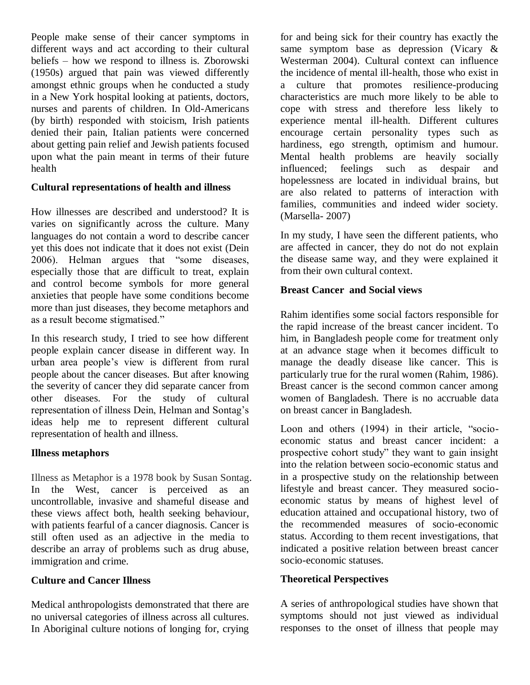People make sense of their cancer symptoms in different ways and act according to their cultural beliefs – how we respond to illness is. Zborowski (1950s) argued that pain was viewed differently amongst ethnic groups when he conducted a study in a New York hospital looking at patients, doctors, nurses and parents of children. In Old-Americans (by birth) responded with stoicism, Irish patients denied their pain, Italian patients were concerned about getting pain relief and Jewish patients focused upon what the pain meant in terms of their future health

#### **Cultural representations of health and illness**

How illnesses are described and understood? It is varies on significantly across the culture. Many languages do not contain a word to describe cancer yet this does not indicate that it does not exist (Dein 2006). Helman argues that "some diseases, especially those that are difficult to treat, explain and control become symbols for more general anxieties that people have some conditions become more than just diseases, they become metaphors and as a result become stigmatised."

In this research study, I tried to see how different people explain cancer disease in different way. In urban area people"s view is different from rural people about the cancer diseases. But after knowing the severity of cancer they did separate cancer from other diseases. For the study of cultural representation of illness Dein, Helman and Sontag"s ideas help me to represent different cultural representation of health and illness.

# **Illness metaphors**

Illness as Metaphor is a 1978 book by Susan Sontag. In the West, cancer is perceived as an uncontrollable, invasive and shameful disease and these views affect both, health seeking behaviour, with patients fearful of a cancer diagnosis. Cancer is still often used as an adjective in the media to describe an array of problems such as drug abuse, immigration and crime.

# **Culture and Cancer Illness**

Medical anthropologists demonstrated that there are no universal categories of illness across all cultures. In Aboriginal culture notions of longing for, crying

for and being sick for their country has exactly the same symptom base as depression (Vicary & Westerman 2004). Cultural context can influence the incidence of mental ill-health, those who exist in a culture that promotes resilience-producing characteristics are much more likely to be able to cope with stress and therefore less likely to experience mental ill-health. Different cultures encourage certain personality types such as hardiness, ego strength, optimism and humour. Mental health problems are heavily socially influenced; feelings such as despair and hopelessness are located in individual brains, but are also related to patterns of interaction with families, communities and indeed wider society. (Marsella- 2007)

In my study, I have seen the different patients, who are affected in cancer, they do not do not explain the disease same way, and they were explained it from their own cultural context.

#### **Breast Cancer and Social views**

Rahim identifies some social factors responsible for the rapid increase of the breast cancer incident. To him, in Bangladesh people come for treatment only at an advance stage when it becomes difficult to manage the deadly disease like cancer. This is particularly true for the rural women (Rahim, 1986). Breast cancer is the second common cancer among women of Bangladesh. There is no accruable data on breast cancer in Bangladesh.

Loon and others (1994) in their article, "socioeconomic status and breast cancer incident: a prospective cohort study" they want to gain insight into the relation between socio-economic status and in a prospective study on the relationship between lifestyle and breast cancer. They measured socioeconomic status by means of highest level of education attained and occupational history, two of the recommended measures of socio-economic status. According to them recent investigations, that indicated a positive relation between breast cancer socio-economic statuses.

# **Theoretical Perspectives**

A series of anthropological studies have shown that symptoms should not just viewed as individual responses to the onset of illness that people may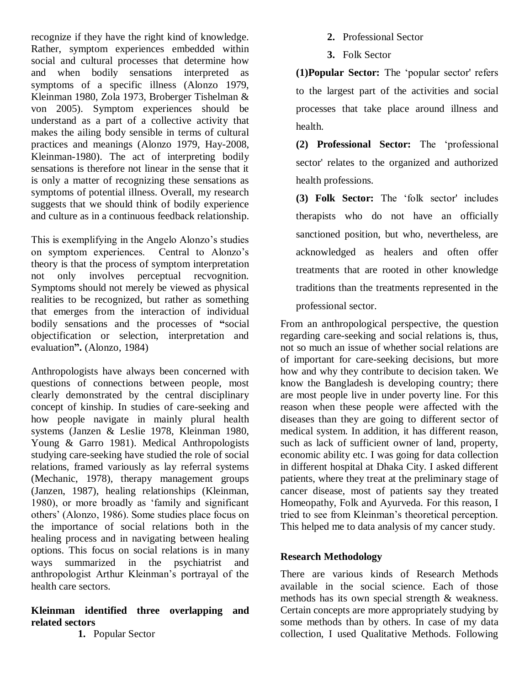recognize if they have the right kind of knowledge. Rather, symptom experiences embedded within social and cultural processes that determine how and when bodily sensations interpreted as symptoms of a specific illness (Alonzo 1979, Kleinman 1980, Zola 1973, Broberger Tishelman & von 2005). Symptom experiences should be understand as a part of a collective activity that makes the ailing body sensible in terms of cultural practices and meanings (Alonzo 1979, Hay-2008, Kleinman-1980). The act of interpreting bodily sensations is therefore not linear in the sense that it is only a matter of recognizing these sensations as symptoms of potential illness. Overall, my research suggests that we should think of bodily experience and culture as in a continuous feedback relationship.

This is exemplifying in the Angelo Alonzo"s studies on symptom experiences. Central to Alonzo"s theory is that the process of symptom interpretation not only involves perceptual recvognition. Symptoms should not merely be viewed as physical realities to be recognized, but rather as something that emerges from the interaction of individual bodily sensations and the processes of **"**social objectification or selection, interpretation and evaluation**".** (Alonzo, 1984)

Anthropologists have always been concerned with questions of connections between people, most clearly demonstrated by the central disciplinary concept of kinship. In studies of care-seeking and how people navigate in mainly plural health systems (Janzen & Leslie 1978, Kleinman 1980, Young & Garro 1981). Medical Anthropologists studying care-seeking have studied the role of social relations, framed variously as lay referral systems (Mechanic, 1978), therapy management groups (Janzen, 1987), healing relationships (Kleinman, 1980), or more broadly as "family and significant others" (Alonzo, 1986). Some studies place focus on the importance of social relations both in the healing process and in navigating between healing options. This focus on social relations is in many ways summarized in the psychiatrist and anthropologist Arthur Kleinman"s portrayal of the health care sectors.

#### **Kleinman identified three overlapping and related sectors**

**1.** Popular Sector

- **2.** Professional Sector
- **3.** Folk Sector

**(1)Popular Sector:** The "popular sector' refers to the largest part of the activities and social processes that take place around illness and health.

**(2) Professional Sector:** The "professional sector' relates to the organized and authorized health professions.

**(3) Folk Sector:** The "folk sector' includes therapists who do not have an officially sanctioned position, but who, nevertheless, are acknowledged as healers and often offer treatments that are rooted in other knowledge traditions than the treatments represented in the professional sector.

From an anthropological perspective, the question regarding care-seeking and social relations is, thus, not so much an issue of whether social relations are of important for care-seeking decisions, but more how and why they contribute to decision taken. We know the Bangladesh is developing country; there are most people live in under poverty line. For this reason when these people were affected with the diseases than they are going to different sector of medical system. In addition, it has different reason, such as lack of sufficient owner of land, property, economic ability etc. I was going for data collection in different hospital at Dhaka City. I asked different patients, where they treat at the preliminary stage of cancer disease, most of patients say they treated Homeopathy, Folk and Ayurveda. For this reason, I tried to see from Kleinman"s theoretical perception. This helped me to data analysis of my cancer study.

# **Research Methodology**

There are various kinds of Research Methods available in the social science. Each of those methods has its own special strength & weakness. Certain concepts are more appropriately studying by some methods than by others. In case of my data collection, I used Qualitative Methods. Following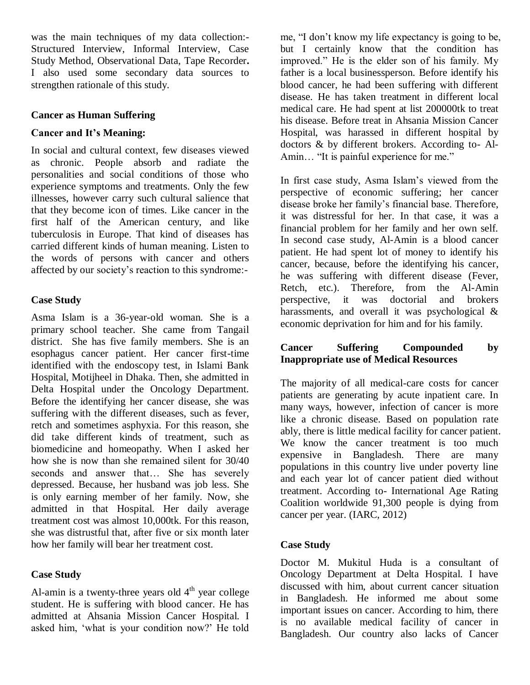was the main techniques of my data collection:- Structured Interview, Informal Interview, Case Study Method, Observational Data, Tape Recorder**.**  I also used some secondary data sources to strengthen rationale of this study.

#### **Cancer as Human Suffering**

#### **Cancer and It's Meaning:**

In social and cultural context, few diseases viewed as chronic. People absorb and radiate the personalities and social conditions of those who experience symptoms and treatments. Only the few illnesses, however carry such cultural salience that that they become icon of times. Like cancer in the first half of the American century, and like tuberculosis in Europe. That kind of diseases has carried different kinds of human meaning. Listen to the words of persons with cancer and others affected by our society's reaction to this syndrome:-

# **Case Study**

Asma Islam is a 36-year-old woman. She is a primary school teacher. She came from Tangail district. She has five family members. She is an esophagus cancer patient. Her cancer first-time identified with the endoscopy test, in Islami Bank Hospital, Motijheel in Dhaka. Then, she admitted in Delta Hospital under the Oncology Department. Before the identifying her cancer disease, she was suffering with the different diseases, such as fever, retch and sometimes asphyxia. For this reason, she did take different kinds of treatment, such as biomedicine and homeopathy. When I asked her how she is now than she remained silent for 30/40 seconds and answer that… She has severely depressed. Because, her husband was job less. She is only earning member of her family. Now, she admitted in that Hospital. Her daily average treatment cost was almost 10,000tk. For this reason, she was distrustful that, after five or six month later how her family will bear her treatment cost.

# **Case Study**

Al-amin is a twenty-three years old  $4<sup>th</sup>$  year college student. He is suffering with blood cancer. He has admitted at Ahsania Mission Cancer Hospital. I asked him, "what is your condition now?" He told me, "I don"t know my life expectancy is going to be, but I certainly know that the condition has improved." He is the elder son of his family. My father is a local businessperson. Before identify his blood cancer, he had been suffering with different disease. He has taken treatment in different local medical care. He had spent at list 200000tk to treat his disease. Before treat in Ahsania Mission Cancer Hospital, was harassed in different hospital by doctors & by different brokers. According to- Al-Amin… "It is painful experience for me."

In first case study, Asma Islam"s viewed from the perspective of economic suffering; her cancer disease broke her family"s financial base. Therefore, it was distressful for her. In that case, it was a financial problem for her family and her own self. In second case study, Al-Amin is a blood cancer patient. He had spent lot of money to identify his cancer, because, before the identifying his cancer, he was suffering with different disease (Fever, Retch, etc.). Therefore, from the Al-Amin perspective, it was doctorial and brokers harassments, and overall it was psychological & economic deprivation for him and for his family.

# **Cancer Suffering Compounded by Inappropriate use of Medical Resources**

The majority of all medical-care costs for cancer patients are generating by acute inpatient care. In many ways, however, infection of cancer is more like a chronic disease. Based on population rate ably, there is little medical facility for cancer patient. We know the cancer treatment is too much expensive in Bangladesh. There are many populations in this country live under poverty line and each year lot of cancer patient died without treatment. According to- International Age Rating Coalition worldwide 91,300 people is dying from cancer per year. (IARC, 2012)

# **Case Study**

Doctor M. Mukitul Huda is a consultant of Oncology Department at Delta Hospital. I have discussed with him, about current cancer situation in Bangladesh. He informed me about some important issues on cancer. According to him, there is no available medical facility of cancer in Bangladesh. Our country also lacks of Cancer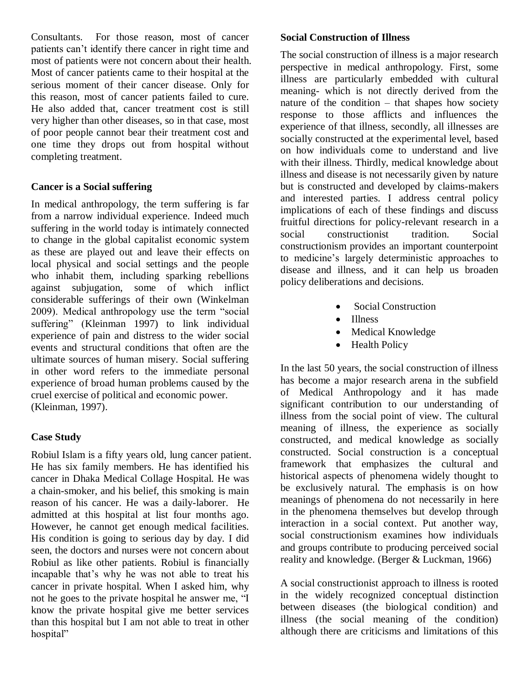Consultants. For those reason, most of cancer patients can"t identify there cancer in right time and most of patients were not concern about their health. Most of cancer patients came to their hospital at the serious moment of their cancer disease. Only for this reason, most of cancer patients failed to cure. He also added that, cancer treatment cost is still very higher than other diseases, so in that case, most of poor people cannot bear their treatment cost and one time they drops out from hospital without completing treatment.

# **Cancer is a Social suffering**

In medical anthropology, the term suffering is far from a narrow individual experience. Indeed much suffering in the world today is intimately connected to change in the global capitalist economic system as these are played out and leave their effects on local physical and social settings and the people who inhabit them, including sparking rebellions against subjugation, some of which inflict considerable sufferings of their own (Winkelman 2009). Medical anthropology use the term "social suffering" (Kleinman 1997) to link individual experience of pain and distress to the wider social events and structural conditions that often are the ultimate sources of human misery. Social suffering in other word refers to the immediate personal experience of broad human problems caused by the cruel exercise of political and economic power. (Kleinman, 1997).

# **Case Study**

Robiul Islam is a fifty years old, lung cancer patient. He has six family members. He has identified his cancer in Dhaka Medical Collage Hospital. He was a chain-smoker, and his belief, this smoking is main reason of his cancer. He was a daily-laborer. He admitted at this hospital at list four months ago. However, he cannot get enough medical facilities. His condition is going to serious day by day. I did seen, the doctors and nurses were not concern about Robiul as like other patients. Robiul is financially incapable that"s why he was not able to treat his cancer in private hospital. When I asked him, why not he goes to the private hospital he answer me, "I know the private hospital give me better services than this hospital but I am not able to treat in other hospital"

### **Social Construction of Illness**

The social construction of illness is a major research perspective in medical anthropology. First, some illness are particularly embedded with cultural meaning- which is not directly derived from the nature of the condition – that shapes how society response to those afflicts and influences the experience of that illness, secondly, all illnesses are socially constructed at the experimental level, based on how individuals come to understand and live with their illness. Thirdly, medical knowledge about illness and disease is not necessarily given by nature but is constructed and developed by claims-makers and interested parties. I address central policy implications of each of these findings and discuss fruitful directions for policy-relevant research in a social constructionist tradition. Social constructionism provides an important counterpoint to medicine"s largely deterministic approaches to disease and illness, and it can help us broaden policy deliberations and decisions.

- Social Construction
- Illness
- Medical Knowledge
- Health Policy

In the last 50 years, the social construction of illness has become a major research arena in the subfield of Medical Anthropology and it has made significant contribution to our understanding of illness from the social point of view. The cultural meaning of illness, the experience as socially constructed, and medical knowledge as socially constructed. Social construction is a conceptual framework that emphasizes the cultural and historical aspects of phenomena widely thought to be exclusively natural. The emphasis is on how meanings of phenomena do not necessarily in here in the phenomena themselves but develop through interaction in a social context. Put another way, social constructionism examines how individuals and groups contribute to producing perceived social reality and knowledge. (Berger & Luckman, 1966)

A social constructionist approach to illness is rooted in the widely recognized conceptual distinction between diseases (the biological condition) and illness (the social meaning of the condition) although there are criticisms and limitations of this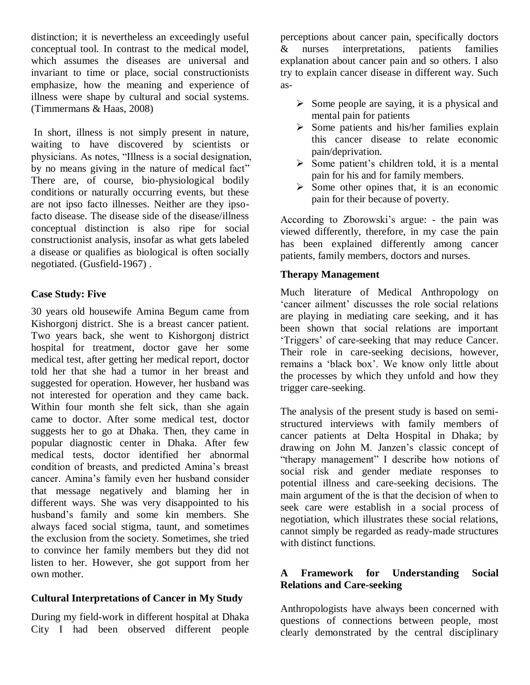distinction; it is nevertheless an exceedingly useful conceptual tool. In contrast to the medical model, which assumes the diseases are universal and invariant to time or place, social constructionists emphasize, how the meaning and experience of illness were shape by cultural and social systems. (Timmermans & Haas, 2008)

In short, illness is not simply present in nature, waiting to have discovered by scientists or physicians. As notes, "Illness is a social designation, by no means giving in the nature of medical fact" There are, of course, bio-physiological bodily conditions or naturally occurring events, but these are not ipso facto illnesses. Neither are they ipsofacto disease. The disease side of the disease/illness conceptual distinction is also ripe for social constructionist analysis, insofar as what gets labeled a disease or qualifies as biological is often socially negotiated. (Gusfield-1967) .

# **Case Study: Five**

30 years old housewife Amina Begum came from Kishorgonj district. She is a breast cancer patient. Two years back, she went to Kishorgonj district hospital for treatment, doctor gave her some medical test, after getting her medical report, doctor told her that she had a tumor in her breast and suggested for operation. However, her husband was not interested for operation and they came back. Within four month she felt sick, than she again came to doctor. After some medical test, doctor suggests her to go at Dhaka. Then, they came in popular diagnostic center in Dhaka. After few medical tests, doctor identified her abnormal condition of breasts, and predicted Amina"s breast cancer. Amina"s family even her husband consider that message negatively and blaming her in different ways. She was very disappointed to his husband"s family and some kin members. She always faced social stigma, taunt, and sometimes the exclusion from the society. Sometimes, she tried to convince her family members but they did not listen to her. However, she got support from her own mother.

# **Cultural Interpretations of Cancer in My Study**

During my field-work in different hospital at Dhaka City I had been observed different people

perceptions about cancer pain, specifically doctors & nurses interpretations, patients families explanation about cancer pain and so others. I also try to explain cancer disease in different way. Such as-

- $\triangleright$  Some people are saying, it is a physical and mental pain for patients
- $\triangleright$  Some patients and his/her families explain this cancer disease to relate economic pain/deprivation.
- $\triangleright$  Some patient's children told, it is a mental pain for his and for family members.
- $\triangleright$  Some other opines that, it is an economic pain for their because of poverty.

According to Zborowski's argue: - the pain was viewed differently, therefore, in my case the pain has been explained differently among cancer patients, family members, doctors and nurses.

# **Therapy Management**

Much literature of Medical Anthropology on 'cancer ailment' discusses the role social relations are playing in mediating care seeking, and it has been shown that social relations are important "Triggers" of care-seeking that may reduce Cancer. Their role in care-seeking decisions, however, remains a "black box". We know only little about the processes by which they unfold and how they trigger care-seeking.

The analysis of the present study is based on semistructured interviews with family members of cancer patients at Delta Hospital in Dhaka; by drawing on John M. Janzen"s classic concept of "therapy management" I describe how notions of social risk and gender mediate responses to potential illness and care-seeking decisions. The main argument of the is that the decision of when to seek care were establish in a social process of negotiation, which illustrates these social relations, cannot simply be regarded as ready-made structures with distinct functions.

# **A Framework for Understanding Social Relations and Care-seeking**

Anthropologists have always been concerned with questions of connections between people, most clearly demonstrated by the central disciplinary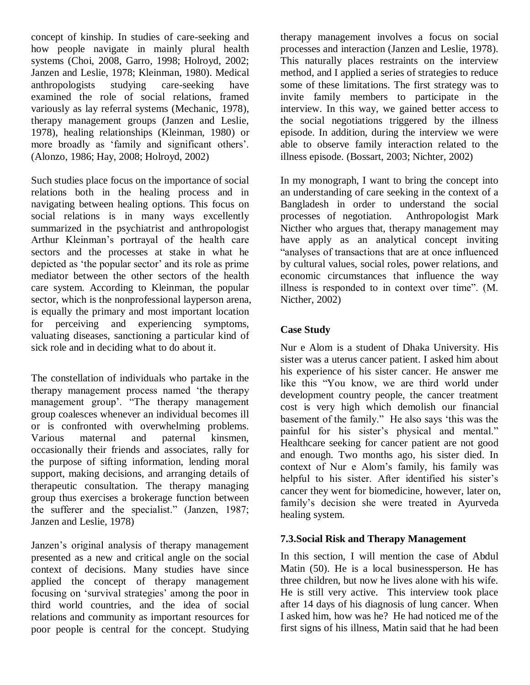concept of kinship. In studies of care-seeking and how people navigate in mainly plural health systems (Choi, 2008, Garro, 1998; Holroyd, 2002; Janzen and Leslie, 1978; Kleinman, 1980). Medical anthropologists studying care-seeking have examined the role of social relations, framed variously as lay referral systems (Mechanic, 1978), therapy management groups (Janzen and Leslie, 1978), healing relationships (Kleinman, 1980) or more broadly as 'family and significant others'. (Alonzo, 1986; Hay, 2008; Holroyd, 2002)

Such studies place focus on the importance of social relations both in the healing process and in navigating between healing options. This focus on social relations is in many ways excellently summarized in the psychiatrist and anthropologist Arthur Kleinman"s portrayal of the health care sectors and the processes at stake in what he depicted as 'the popular sector' and its role as prime mediator between the other sectors of the health care system. According to Kleinman, the popular sector, which is the nonprofessional layperson arena, is equally the primary and most important location for perceiving and experiencing symptoms, valuating diseases, sanctioning a particular kind of sick role and in deciding what to do about it.

The constellation of individuals who partake in the therapy management process named "the therapy management group'. "The therapy management group coalesces whenever an individual becomes ill or is confronted with overwhelming problems. Various maternal and paternal kinsmen, occasionally their friends and associates, rally for the purpose of sifting information, lending moral support, making decisions, and arranging details of therapeutic consultation. The therapy managing group thus exercises a brokerage function between the sufferer and the specialist." (Janzen, 1987; Janzen and Leslie, 1978)

Janzen"s original analysis of therapy management presented as a new and critical angle on the social context of decisions. Many studies have since applied the concept of therapy management focusing on 'survival strategies' among the poor in third world countries, and the idea of social relations and community as important resources for poor people is central for the concept. Studying

therapy management involves a focus on social processes and interaction (Janzen and Leslie, 1978). This naturally places restraints on the interview method, and I applied a series of strategies to reduce some of these limitations. The first strategy was to invite family members to participate in the interview. In this way, we gained better access to the social negotiations triggered by the illness episode. In addition, during the interview we were able to observe family interaction related to the illness episode. (Bossart, 2003; Nichter, 2002)

In my monograph, I want to bring the concept into an understanding of care seeking in the context of a Bangladesh in order to understand the social processes of negotiation. Anthropologist Mark Nicther who argues that, therapy management may have apply as an analytical concept inviting "analyses of transactions that are at once influenced by cultural values, social roles, power relations, and economic circumstances that influence the way illness is responded to in context over time". (M. Nicther, 2002)

# **Case Study**

Nur e Alom is a student of Dhaka University. His sister was a uterus cancer patient. I asked him about his experience of his sister cancer. He answer me like this "You know, we are third world under development country people, the cancer treatment cost is very high which demolish our financial basement of the family." He also says "this was the painful for his sister's physical and mental." Healthcare seeking for cancer patient are not good and enough. Two months ago, his sister died. In context of Nur e Alom"s family, his family was helpful to his sister. After identified his sister's cancer they went for biomedicine, however, later on, family"s decision she were treated in Ayurveda healing system.

# **7.3.Social Risk and Therapy Management**

In this section, I will mention the case of Abdul Matin (50). He is a local businessperson. He has three children, but now he lives alone with his wife. He is still very active. This interview took place after 14 days of his diagnosis of lung cancer. When I asked him, how was he? He had noticed me of the first signs of his illness, Matin said that he had been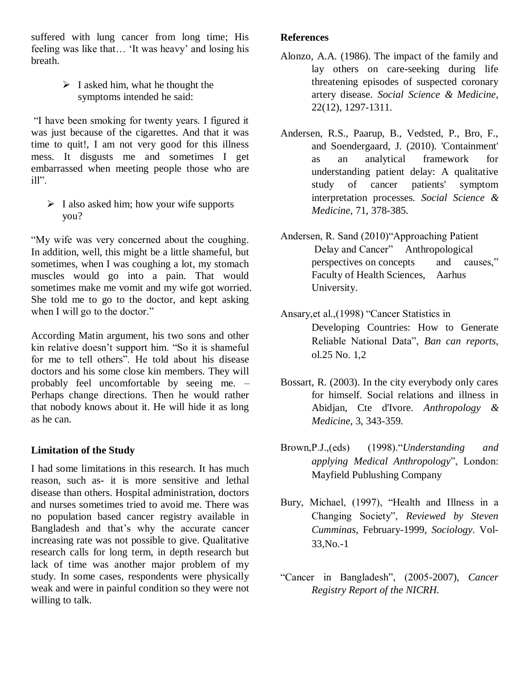suffered with lung cancer from long time; His feeling was like that… "It was heavy" and losing his breath.

> $\triangleright$  I asked him, what he thought the symptoms intended he said:

"I have been smoking for twenty years. I figured it was just because of the cigarettes. And that it was time to quit!, I am not very good for this illness mess. It disgusts me and sometimes I get embarrassed when meeting people those who are ill".

 $\triangleright$  I also asked him; how your wife supports you?

"My wife was very concerned about the coughing. In addition, well, this might be a little shameful, but sometimes, when I was coughing a lot, my stomach muscles would go into a pain. That would sometimes make me vomit and my wife got worried. She told me to go to the doctor, and kept asking when I will go to the doctor."

According Matin argument, his two sons and other kin relative doesn"t support him. "So it is shameful for me to tell others". He told about his disease doctors and his some close kin members. They will probably feel uncomfortable by seeing me. – Perhaps change directions. Then he would rather that nobody knows about it. He will hide it as long as he can.

# **Limitation of the Study**

I had some limitations in this research. It has much reason, such as- it is more sensitive and lethal disease than others. Hospital administration, doctors and nurses sometimes tried to avoid me. There was no population based cancer registry available in Bangladesh and that"s why the accurate cancer increasing rate was not possible to give. Qualitative research calls for long term, in depth research but lack of time was another major problem of my study. In some cases, respondents were physically weak and were in painful condition so they were not willing to talk.

#### **References**

- Alonzo, A.A. (1986). The impact of the family and lay others on care-seeking during life threatening episodes of suspected coronary artery disease. *Social Science & Medicine*, 22(12), 1297-1311.
- Andersen, R.S., Paarup, B., Vedsted, P., Bro, F., and Soendergaard, J. (2010). 'Containment' as an analytical framework for understanding patient delay: A qualitative study of cancer patients' symptom interpretation processes. *Social Science & Medicine,* 71, 378-385.
- Andersen, R. Sand (2010)"Approaching Patient Delay and Cancer" Anthropological perspectives on concepts and causes," Faculty of Health Sciences, Aarhus University.
- Ansary,et al.,(1998) "Cancer Statistics in Developing Countries: How to Generate Reliable National Data", *Ban can reports,*  ol.25 No. 1,2
- Bossart, R. (2003). In the city everybody only cares for himself. Social relations and illness in Abidjan, Cte d'Ivore. *Anthropology & Medicine*, 3, 343-359.
- Brown,P.J.,(eds) (1998)."*Understanding and applying Medical Anthropology*", London: Mayfield Publushing Company
- Bury, Michael, (1997), "Health and Illness in a Changing Society", *Reviewed by Steven Cumminas*, February-1999, *Sociology*. Vol-33,No.-1
- "Cancer in Bangladesh", (2005-2007), *Cancer Registry Report of the NICRH.*